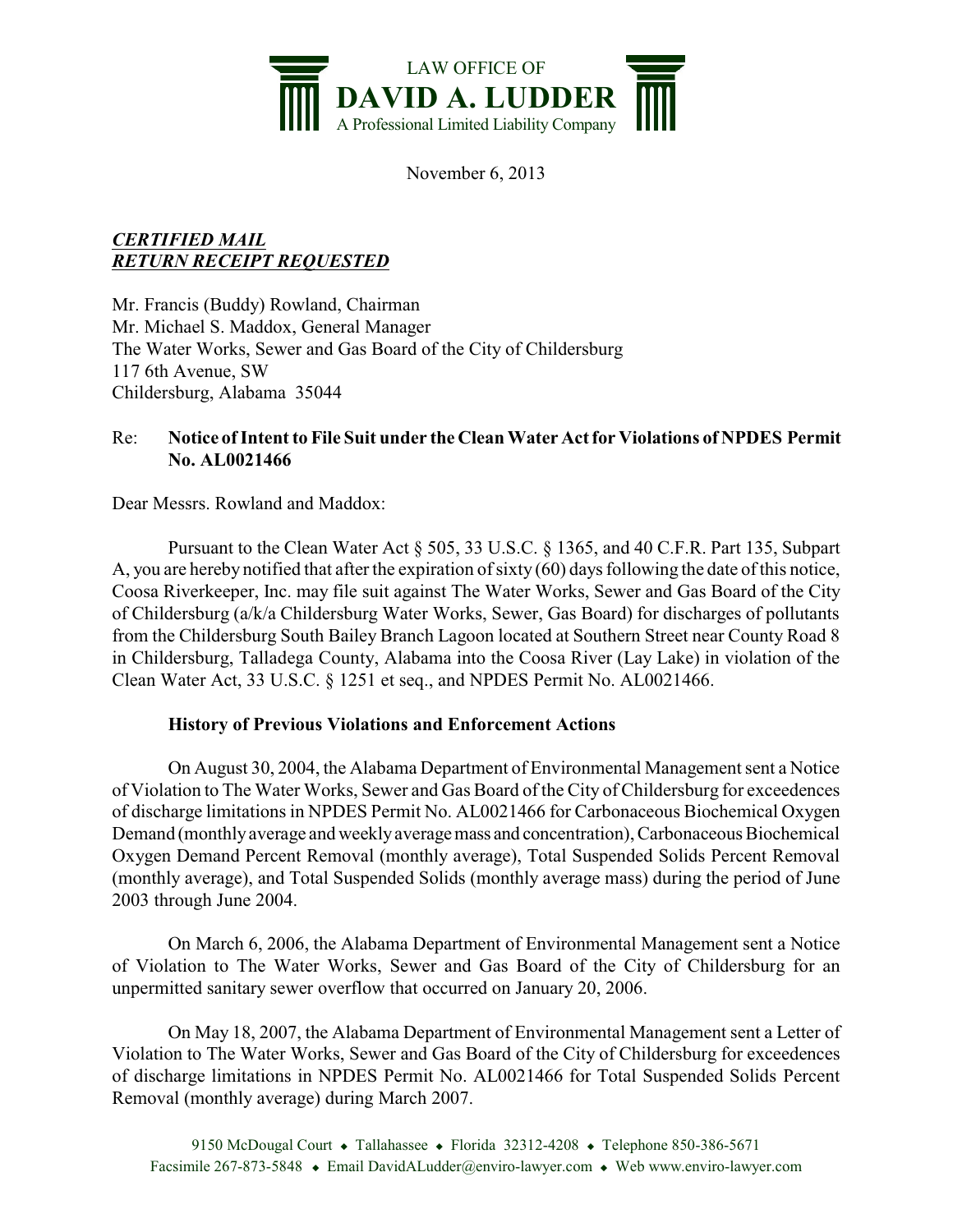

November 6, 2013

## *CERTIFIED MAIL RETURN RECEIPT REQUESTED*

Mr. Francis (Buddy) Rowland, Chairman Mr. Michael S. Maddox, General Manager The Water Works, Sewer and Gas Board of the City of Childersburg 117 6th Avenue, SW Childersburg, Alabama 35044

## Re: **Notice of Intent to File Suit under the Clean Water Actfor Violations of NPDES Permit No. AL0021466**

Dear Messrs. Rowland and Maddox:

Pursuant to the Clean Water Act § 505, 33 U.S.C. § 1365, and 40 C.F.R. Part 135, Subpart A, you are hereby notified that after the expiration of sixty (60) days following the date of this notice, Coosa Riverkeeper, Inc. may file suit against The Water Works, Sewer and Gas Board of the City of Childersburg (a/k/a Childersburg Water Works, Sewer, Gas Board) for discharges of pollutants from the Childersburg South Bailey Branch Lagoon located at Southern Street near County Road 8 in Childersburg, Talladega County, Alabama into the Coosa River (Lay Lake) in violation of the Clean Water Act, 33 U.S.C. § 1251 et seq., and NPDES Permit No. AL0021466.

## **History of Previous Violations and Enforcement Actions**

On August 30, 2004, the Alabama Department of Environmental Management sent a Notice of Violation to The Water Works, Sewer and Gas Board of the City of Childersburg for exceedences of discharge limitations in NPDES Permit No. AL0021466 for Carbonaceous Biochemical Oxygen Demand (monthly average and weekly average mass and concentration), Carbonaceous Biochemical Oxygen Demand Percent Removal (monthly average), Total Suspended Solids Percent Removal (monthly average), and Total Suspended Solids (monthly average mass) during the period of June 2003 through June 2004.

On March 6, 2006, the Alabama Department of Environmental Management sent a Notice of Violation to The Water Works, Sewer and Gas Board of the City of Childersburg for an unpermitted sanitary sewer overflow that occurred on January 20, 2006.

On May 18, 2007, the Alabama Department of Environmental Management sent a Letter of Violation to The Water Works, Sewer and Gas Board of the City of Childersburg for exceedences of discharge limitations in NPDES Permit No. AL0021466 for Total Suspended Solids Percent Removal (monthly average) during March 2007.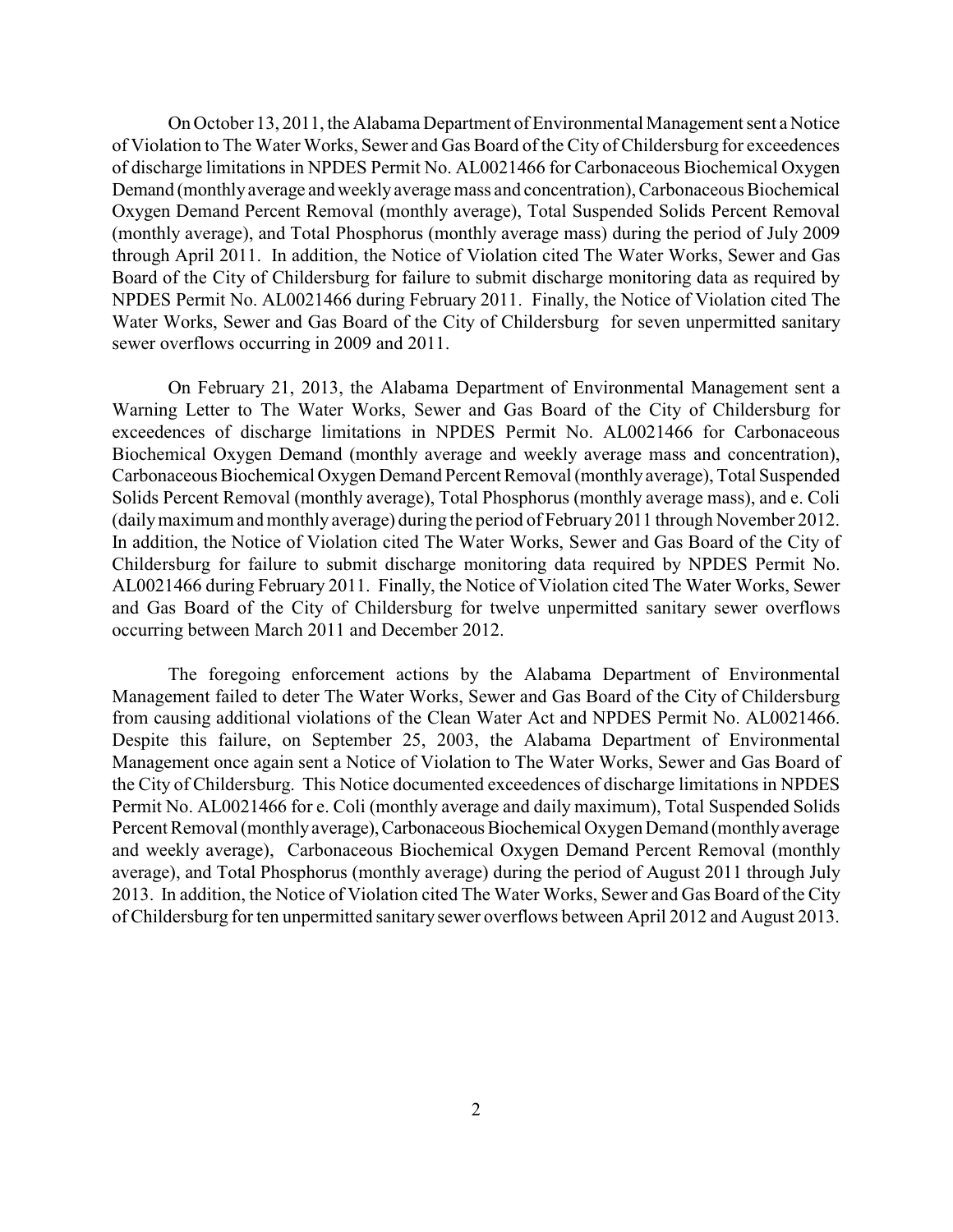On October 13, 2011, the Alabama Department of Environmental Management sent a Notice of Violation to The Water Works, Sewer and Gas Board of the City of Childersburg for exceedences of discharge limitations in NPDES Permit No. AL0021466 for Carbonaceous Biochemical Oxygen Demand (monthlyaverage and weeklyaverage mass and concentration), Carbonaceous Biochemical Oxygen Demand Percent Removal (monthly average), Total Suspended Solids Percent Removal (monthly average), and Total Phosphorus (monthly average mass) during the period of July 2009 through April 2011. In addition, the Notice of Violation cited The Water Works, Sewer and Gas Board of the City of Childersburg for failure to submit discharge monitoring data as required by NPDES Permit No. AL0021466 during February 2011. Finally, the Notice of Violation cited The Water Works, Sewer and Gas Board of the City of Childersburg for seven unpermitted sanitary sewer overflows occurring in 2009 and 2011.

On February 21, 2013, the Alabama Department of Environmental Management sent a Warning Letter to The Water Works, Sewer and Gas Board of the City of Childersburg for exceedences of discharge limitations in NPDES Permit No. AL0021466 for Carbonaceous Biochemical Oxygen Demand (monthly average and weekly average mass and concentration), Carbonaceous Biochemical Oxygen Demand Percent Removal (monthly average), Total Suspended Solids Percent Removal (monthly average), Total Phosphorus (monthly average mass), and e. Coli (dailymaximum and monthly average) during the period of February 2011 through November 2012. In addition, the Notice of Violation cited The Water Works, Sewer and Gas Board of the City of Childersburg for failure to submit discharge monitoring data required by NPDES Permit No. AL0021466 during February 2011. Finally, the Notice of Violation cited The Water Works, Sewer and Gas Board of the City of Childersburg for twelve unpermitted sanitary sewer overflows occurring between March 2011 and December 2012.

The foregoing enforcement actions by the Alabama Department of Environmental Management failed to deter The Water Works, Sewer and Gas Board of the City of Childersburg from causing additional violations of the Clean Water Act and NPDES Permit No. AL0021466. Despite this failure, on September 25, 2003, the Alabama Department of Environmental Management once again sent a Notice of Violation to The Water Works, Sewer and Gas Board of the City of Childersburg. This Notice documented exceedences of discharge limitations in NPDES Permit No. AL0021466 for e. Coli (monthly average and daily maximum), Total Suspended Solids Percent Removal (monthly average), Carbonaceous Biochemical Oxygen Demand (monthly average and weekly average), Carbonaceous Biochemical Oxygen Demand Percent Removal (monthly average), and Total Phosphorus (monthly average) during the period of August 2011 through July 2013. In addition, the Notice of Violation cited The Water Works, Sewer and Gas Board of the City of Childersburg for ten unpermitted sanitary sewer overflows between April 2012 and August 2013.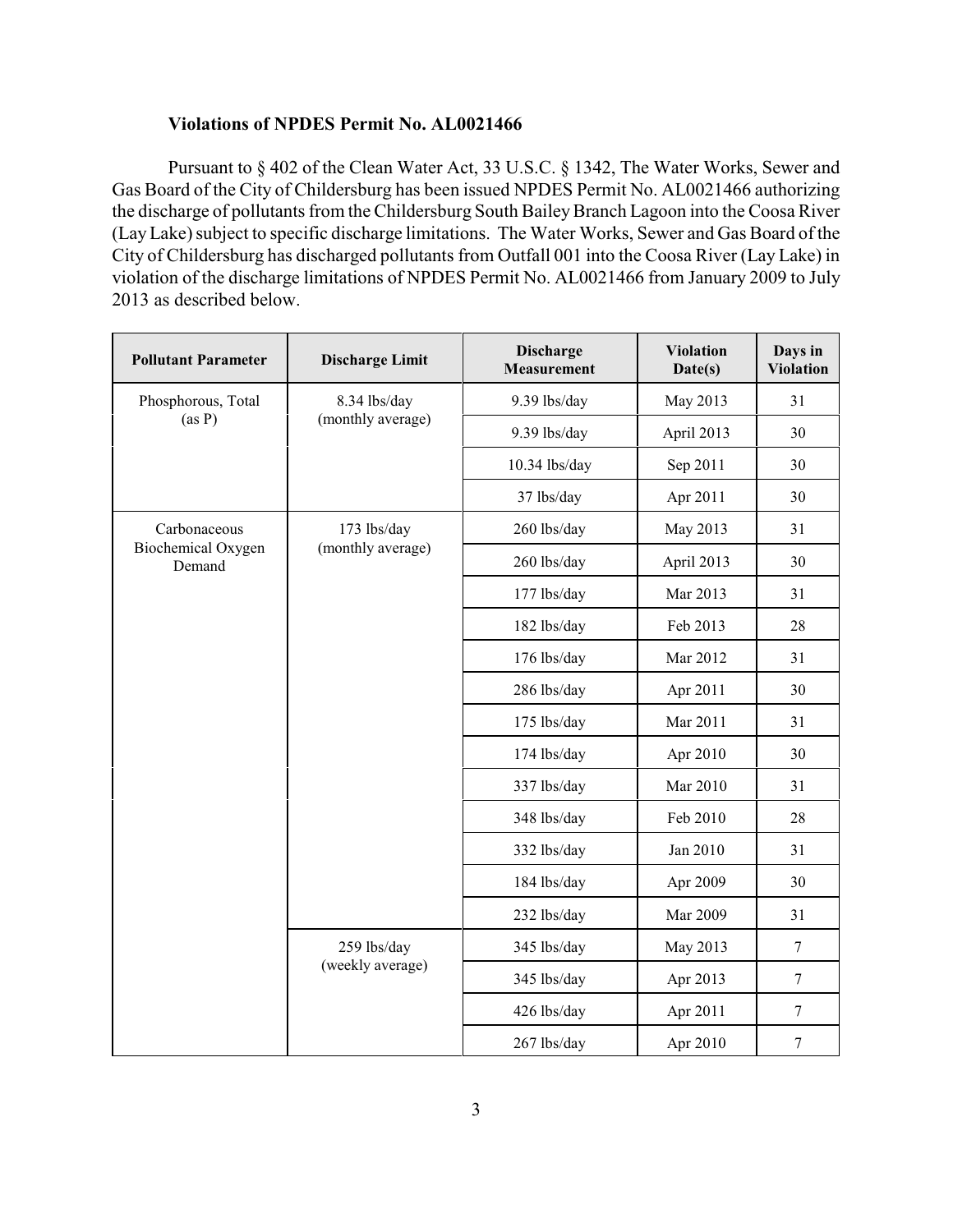## **Violations of NPDES Permit No. AL0021466**

Pursuant to § 402 of the Clean Water Act, 33 U.S.C. § 1342, The Water Works, Sewer and Gas Board of the City of Childersburg has been issued NPDES Permit No. AL0021466 authorizing the discharge of pollutants from the Childersburg South Bailey Branch Lagoon into the Coosa River (Lay Lake) subject to specific discharge limitations. The Water Works, Sewer and Gas Board of the City of Childersburg has discharged pollutants from Outfall 001 into the Coosa River (Lay Lake) in violation of the discharge limitations of NPDES Permit No. AL0021466 from January 2009 to July 2013 as described below.

| <b>Pollutant Parameter</b>                   | <b>Discharge Limit</b>            | <b>Discharge</b><br><b>Measurement</b> | <b>Violation</b><br>Date(s) | Days in<br><b>Violation</b> |
|----------------------------------------------|-----------------------------------|----------------------------------------|-----------------------------|-----------------------------|
| Phosphorous, Total<br>(as P)                 | 8.34 lbs/day<br>(monthly average) | 9.39 lbs/day                           | May 2013                    | 31                          |
|                                              |                                   | 9.39 lbs/day                           | April 2013                  | 30                          |
|                                              |                                   | 10.34 lbs/day                          | Sep 2011                    | 30                          |
|                                              |                                   | 37 lbs/day                             | Apr 2011                    | 30                          |
| Carbonaceous<br>Biochemical Oxygen<br>Demand | 173 lbs/day<br>(monthly average)  | 260 lbs/day                            | May 2013                    | 31                          |
|                                              |                                   | 260 lbs/day                            | April 2013                  | 30                          |
|                                              |                                   | 177 lbs/day                            | Mar 2013                    | 31                          |
|                                              |                                   | 182 lbs/day                            | Feb 2013                    | 28                          |
|                                              |                                   | 176 lbs/day                            | Mar 2012                    | 31                          |
|                                              |                                   | 286 lbs/day                            | Apr 2011                    | 30                          |
|                                              |                                   | 175 lbs/day                            | Mar 2011                    | 31                          |
|                                              |                                   | 174 lbs/day                            | Apr 2010                    | 30                          |
|                                              |                                   | 337 lbs/day                            | Mar 2010                    | 31                          |
|                                              |                                   | 348 lbs/day                            | Feb 2010                    | 28                          |
|                                              |                                   | 332 lbs/day                            | Jan 2010                    | 31                          |
|                                              |                                   | 184 lbs/day                            | Apr 2009                    | 30                          |
|                                              |                                   | 232 lbs/day                            | Mar 2009                    | 31                          |
|                                              | 259 lbs/day<br>(weekly average)   | 345 lbs/day                            | May 2013                    | $\overline{7}$              |
|                                              |                                   | 345 lbs/day                            | Apr 2013                    | $\overline{7}$              |
|                                              |                                   | 426 lbs/day                            | Apr 2011                    | $\boldsymbol{7}$            |
|                                              |                                   | 267 lbs/day                            | Apr 2010                    | $\boldsymbol{7}$            |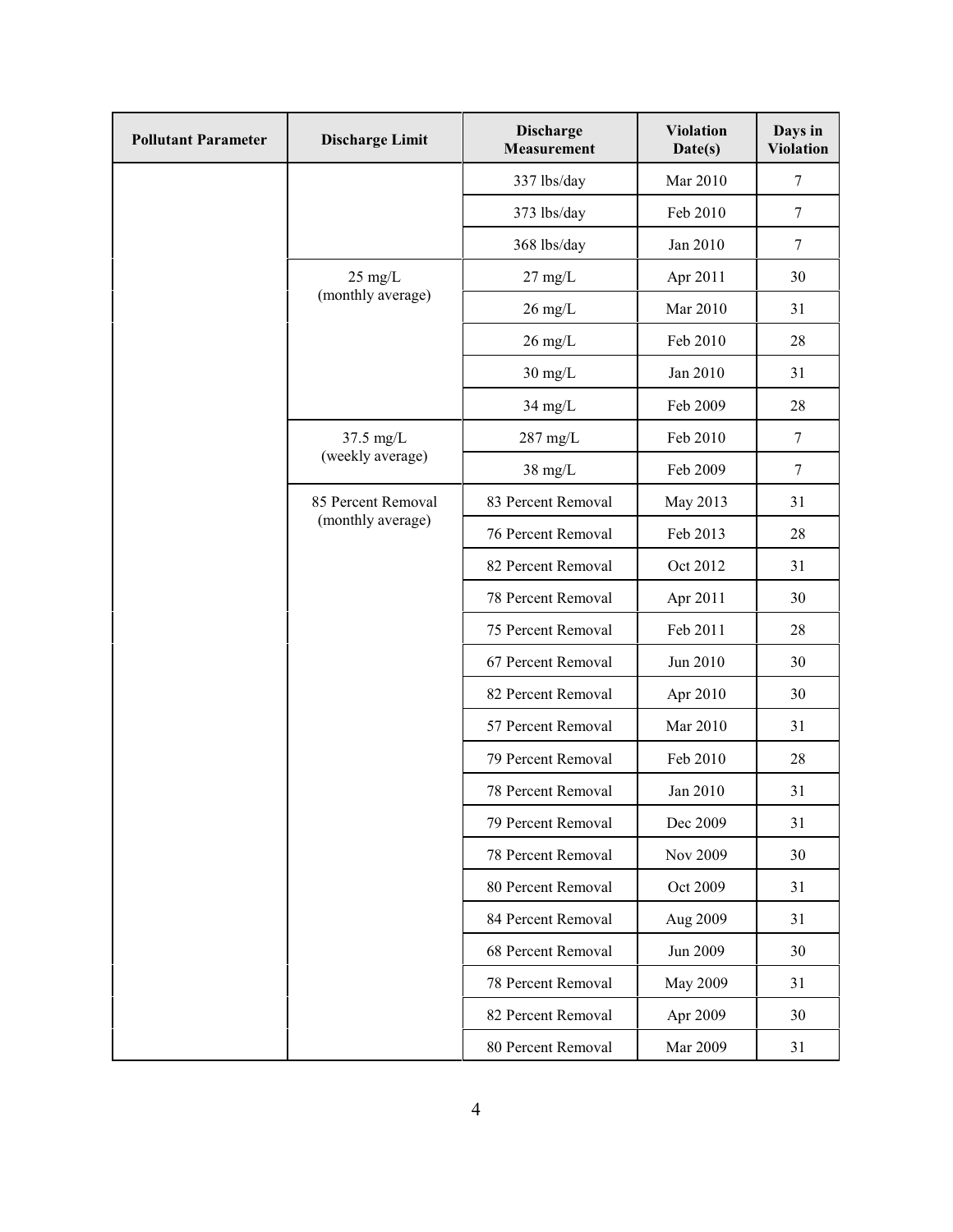| <b>Pollutant Parameter</b> | <b>Discharge Limit</b>                  | <b>Discharge</b><br><b>Measurement</b> | <b>Violation</b><br>Date(s) | Days in<br><b>Violation</b> |
|----------------------------|-----------------------------------------|----------------------------------------|-----------------------------|-----------------------------|
|                            |                                         | 337 lbs/day                            | Mar 2010                    | 7                           |
|                            |                                         | 373 lbs/day                            | Feb 2010                    | $\tau$                      |
|                            |                                         | 368 lbs/day                            | Jan 2010                    | $\tau$                      |
|                            | $25 \text{ mg/L}$<br>(monthly average)  | $27 \text{ mg/L}$                      | Apr 2011                    | 30                          |
|                            |                                         | $26$ mg/L                              | Mar 2010                    | 31                          |
|                            |                                         | $26 \text{ mg/L}$                      | Feb 2010                    | 28                          |
|                            |                                         | $30 \text{ mg/L}$                      | Jan 2010                    | 31                          |
|                            |                                         | $34$ mg/L                              | Feb 2009                    | 28                          |
|                            | 37.5 mg/L<br>(weekly average)           | $287 \text{ mg/L}$                     | Feb 2010                    | $\boldsymbol{7}$            |
|                            |                                         | $38 \text{ mg/L}$                      | Feb 2009                    | $\tau$                      |
|                            | 85 Percent Removal<br>(monthly average) | 83 Percent Removal                     | May 2013                    | 31                          |
|                            |                                         | 76 Percent Removal                     | Feb 2013                    | 28                          |
|                            |                                         | 82 Percent Removal                     | Oct 2012                    | 31                          |
|                            |                                         | 78 Percent Removal                     | Apr 2011                    | 30                          |
|                            |                                         | 75 Percent Removal                     | Feb 2011                    | 28                          |
|                            |                                         | 67 Percent Removal                     | Jun 2010                    | 30                          |
|                            |                                         | 82 Percent Removal                     | Apr 2010                    | 30                          |
|                            |                                         | 57 Percent Removal                     | Mar 2010                    | 31                          |
|                            |                                         | 79 Percent Removal                     | Feb 2010                    | 28                          |
|                            |                                         | 78 Percent Removal                     | Jan 2010                    | 31                          |
|                            |                                         | 79 Percent Removal                     | Dec 2009                    | 31                          |
|                            |                                         | 78 Percent Removal                     | Nov 2009                    | 30                          |
|                            |                                         | 80 Percent Removal                     | Oct 2009                    | 31                          |
|                            |                                         | 84 Percent Removal                     | Aug 2009                    | 31                          |
|                            |                                         | 68 Percent Removal                     | Jun 2009                    | 30                          |
|                            |                                         | 78 Percent Removal                     | <b>May 2009</b>             | 31                          |
|                            |                                         | 82 Percent Removal                     | Apr 2009                    | 30                          |
|                            |                                         | 80 Percent Removal                     | Mar 2009                    | 31                          |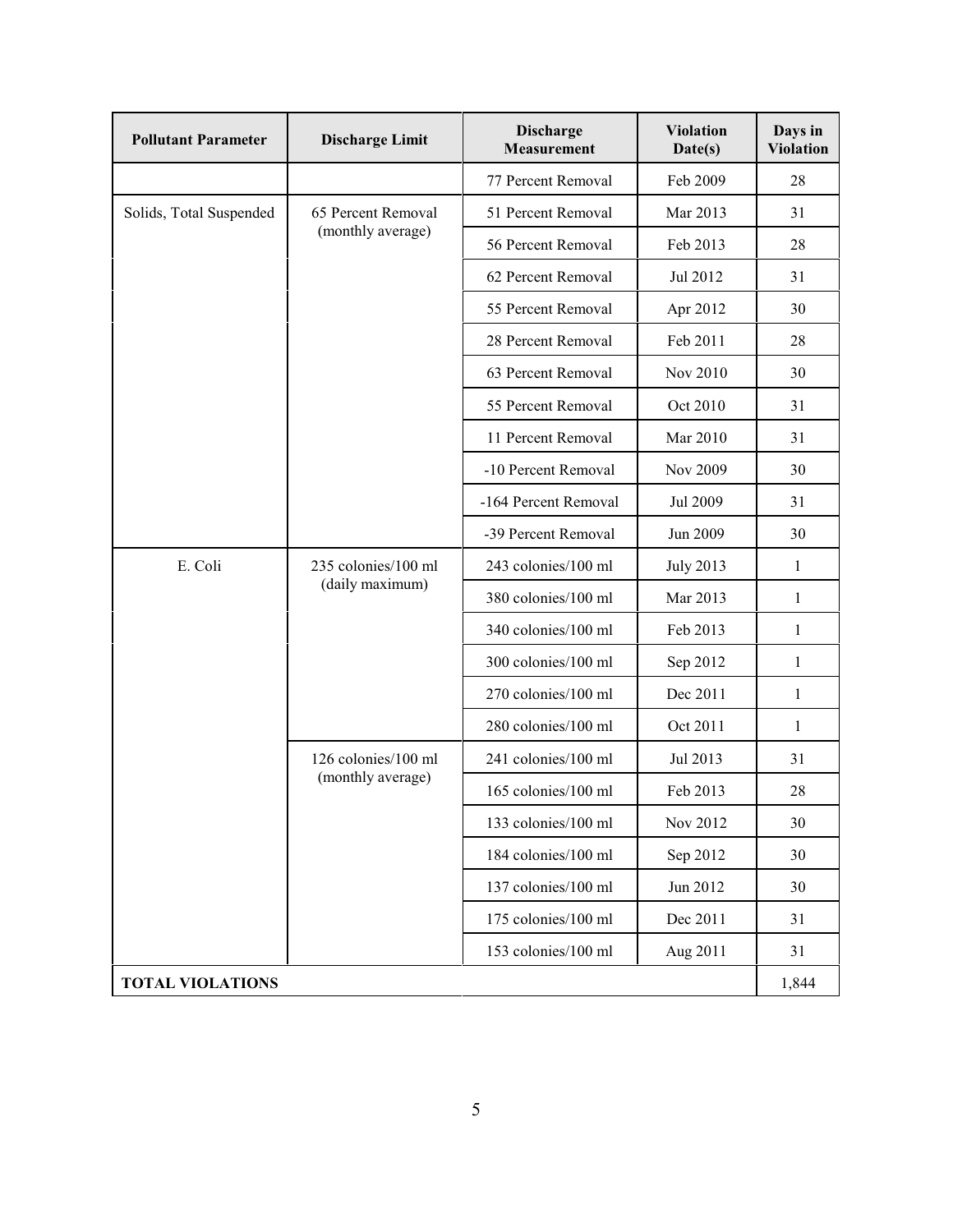| <b>Pollutant Parameter</b> | <b>Discharge Limit</b>                   | <b>Discharge</b><br><b>Measurement</b> | <b>Violation</b><br>Date(s) | Days in<br><b>Violation</b> |
|----------------------------|------------------------------------------|----------------------------------------|-----------------------------|-----------------------------|
|                            |                                          | 77 Percent Removal                     | Feb 2009                    | 28                          |
| Solids, Total Suspended    | 65 Percent Removal<br>(monthly average)  | 51 Percent Removal                     | Mar 2013                    | 31                          |
|                            |                                          | 56 Percent Removal                     | Feb 2013                    | 28                          |
|                            |                                          | 62 Percent Removal                     | Jul 2012                    | 31                          |
|                            |                                          | 55 Percent Removal                     | Apr 2012                    | 30                          |
|                            |                                          | 28 Percent Removal                     | Feb 2011                    | 28                          |
|                            |                                          | 63 Percent Removal                     | Nov 2010                    | 30                          |
|                            |                                          | 55 Percent Removal                     | Oct 2010                    | 31                          |
|                            |                                          | 11 Percent Removal                     | Mar 2010                    | 31                          |
|                            |                                          | -10 Percent Removal                    | Nov 2009                    | 30                          |
|                            |                                          | -164 Percent Removal                   | Jul 2009                    | 31                          |
|                            |                                          | -39 Percent Removal                    | Jun 2009                    | 30                          |
| E. Coli                    | 235 colonies/100 ml<br>(daily maximum)   | 243 colonies/100 ml                    | <b>July 2013</b>            | $\mathbf{1}$                |
|                            |                                          | 380 colonies/100 ml                    | Mar 2013                    | $\mathbf{1}$                |
|                            |                                          | 340 colonies/100 ml                    | Feb 2013                    | 1                           |
|                            |                                          | 300 colonies/100 ml                    | Sep 2012                    | 1                           |
|                            |                                          | 270 colonies/100 ml                    | Dec 2011                    | 1                           |
|                            |                                          | 280 colonies/100 ml                    | Oct 2011                    | $\mathbf{1}$                |
|                            | 126 colonies/100 ml<br>(monthly average) | 241 colonies/100 ml                    | Jul 2013                    | 31                          |
|                            |                                          | 165 colonies/100 ml                    | Feb 2013                    | 28                          |
|                            |                                          | 133 colonies/100 ml                    | Nov 2012                    | 30                          |
|                            |                                          | 184 colonies/100 ml                    | Sep 2012                    | 30                          |
|                            |                                          | 137 colonies/100 ml                    | Jun 2012                    | 30                          |
|                            |                                          | 175 colonies/100 ml                    | Dec 2011                    | 31                          |
|                            |                                          | 153 colonies/100 ml                    | Aug 2011                    | 31                          |
| <b>TOTAL VIOLATIONS</b>    |                                          |                                        |                             |                             |